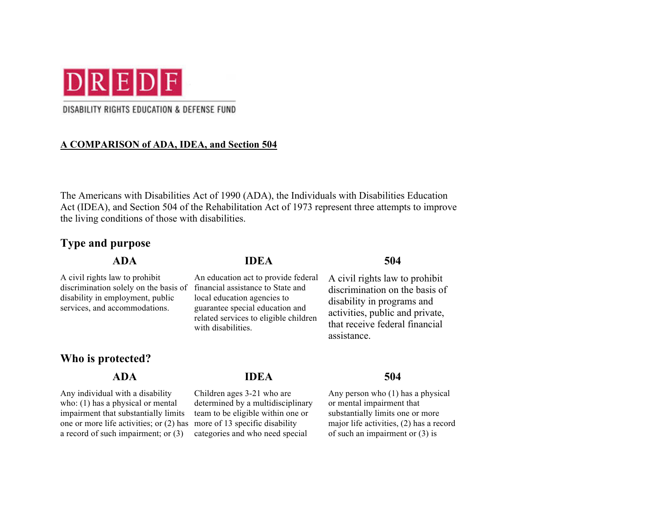

### DISABILITY RIGHTS EDUCATION & DEFENSE FUND

### **A COMPARISON of ADA, IDEA, and Section 504**

The Americans with Disabilities Act of 1990 (ADA), the Individuals with Disabilities Education Act (IDEA), and Section 504 of the Rehabilitation Act of 1973 represent three attempts to improve the living conditions of those with disabilities.

> An education act to provide federal financial assistance to State and local education agencies to guarantee special education and related services to eligible children

with disabilities.

## **Type and purpose**

### **ADA IDEA 504**

A civil rights law to prohibit discrimination solely on the basis of disability in employment, public services, and accommodations.

## **Who is protected?**

Any individual with a disability who: (1) has a physical or mental impairment that substantially limits one or more life activities; or (2) has a record of such impairment; or (3)

# **ADA IDEA 504**

Children ages 3-21 who are determined by a multidisciplinary team to be eligible within one or more of 13 specific disability categories and who need special

A civil rights law to prohibit discrimination on the basis of disability in programs and activities, public and private, that receive federal financial assistance.

Any person who (1) has a physical or mental impairment that substantially limits one or more major life activities, (2) has a record of such an impairment or (3) is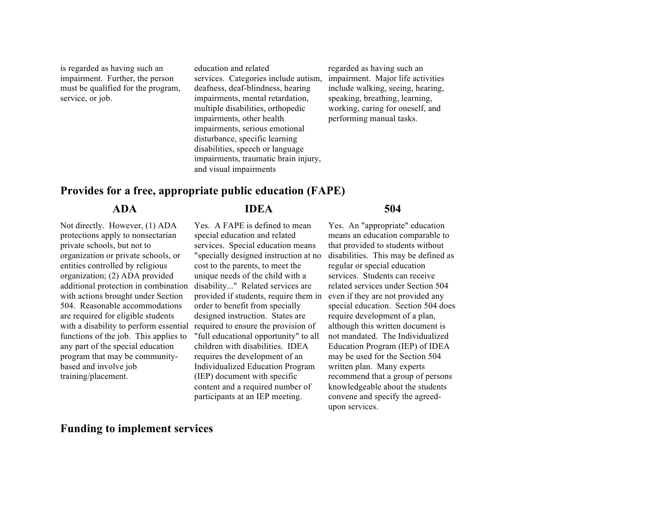is regarded as having such an impairment. Further, the person must be qualified for the program, service, or job.

education and related services. Categories include autism, deafness, deaf-blindness, hearing impairments, mental retardation, multiple disabilities, orthopedic impairments, other health impairments, serious emotional disturbance, specific learning disabilities, speech or language impairments, traumatic brain injury, and visual impairments

regarded as having such an impairment. Major life activities include walking, seeing, hearing, speaking, breathing, learning, working, caring for oneself, and performing manual tasks.

## **Provides for a free, appropriate public education (FAPE)**

Not directly. However, (1) ADA protections apply to nonsectarian private schools, but not to organization or private schools, or entities controlled by religious organization; (2) ADA provided additional protection in combination with actions brought under Section 504. Reasonable accommodations are required for eligible students with a disability to perform essential functions of the job. This applies to any part of the special education program that may be communitybased and involve job training/placement.

### **ADA IDEA 504**

### Yes. A FAPE is defined to mean special education and related services. Special education means "specially designed instruction at no cost to the parents, to meet the unique needs of the child with a disability..." Related services are provided if students, require them in even if they are not provided any order to benefit from specially designed instruction. States are required to ensure the provision of "full educational opportunity" to all children with disabilities. IDEA requires the development of an Individualized Education Program (IEP) document with specific content and a required number of participants at an IEP meeting.

Yes. An "appropriate" education means an education comparable to that provided to students without disabilities. This may be defined as regular or special education services. Students can receive related services under Section 504 special education. Section 504 does require development of a plan, although this written document is not mandated. The Individualized Education Program (IEP) of IDEA may be used for the Section 504 written plan. Many experts recommend that a group of persons knowledgeable about the students convene and specify the agreedupon services.

## **Funding to implement services**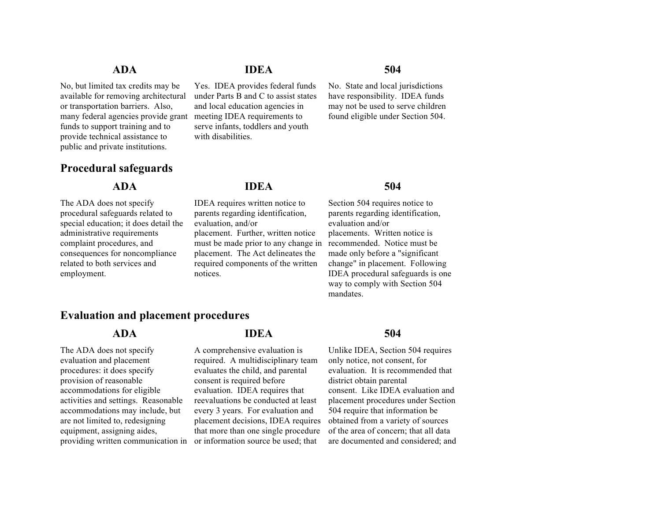No, but limited tax credits may be available for removing architectural or transportation barriers. Also, many federal agencies provide grant funds to support training and to provide technical assistance to public and private institutions.

## **Procedural safeguards**

The ADA does not specify procedural safeguards related to special education; it does detail the administrative requirements complaint procedures, and consequences for noncompliance related to both services and employment.

## **ADA IDEA 504**

Yes. IDEA provides federal funds under Parts B and C to assist states and local education agencies in meeting IDEA requirements to serve infants, toddlers and youth with disabilities.

No. State and local jurisdictions have responsibility. IDEA funds may not be used to serve children found eligible under Section 504.

## **ADA IDEA 504**

IDEA requires written notice to parents regarding identification, evaluation, and/or placement. Further, written notice must be made prior to any change in recommended. Notice must be placement. The Act delineates the required components of the written notices.

Section 504 requires notice to parents regarding identification, evaluation and/or placements. Written notice is made only before a "significant change" in placement. Following IDEA procedural safeguards is one way to comply with Section 504 mandates.

## **Evaluation and placement procedures**

The ADA does not specify evaluation and placement procedures: it does specify provision of reasonable accommodations for eligible activities and settings. Reasonable accommodations may include, but are not limited to, redesigning equipment, assigning aides, providing written communication in or information source be used; that

### **ADA IDEA 504**

A comprehensive evaluation is required. A multidisciplinary team evaluates the child, and parental consent is required before evaluation. IDEA requires that reevaluations be conducted at least every 3 years. For evaluation and placement decisions, IDEA requires that more than one single procedure

Unlike IDEA, Section 504 requires only notice, not consent, for evaluation. It is recommended that district obtain parental consent. Like IDEA evaluation and placement procedures under Section 504 require that information be obtained from a variety of sources of the area of concern; that all data are documented and considered; and